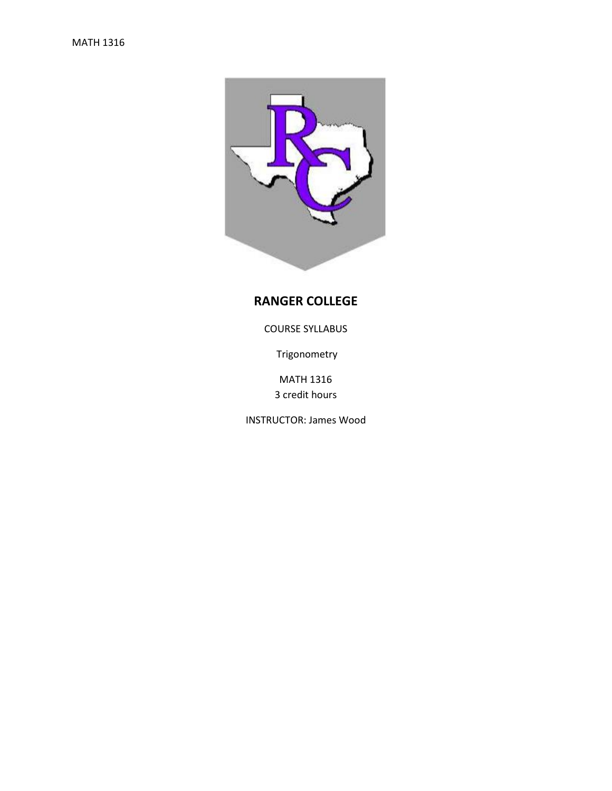

# **RANGER COLLEGE**

COURSE SYLLABUS

Trigonometry

MATH 1316 3 credit hours

INSTRUCTOR: James Wood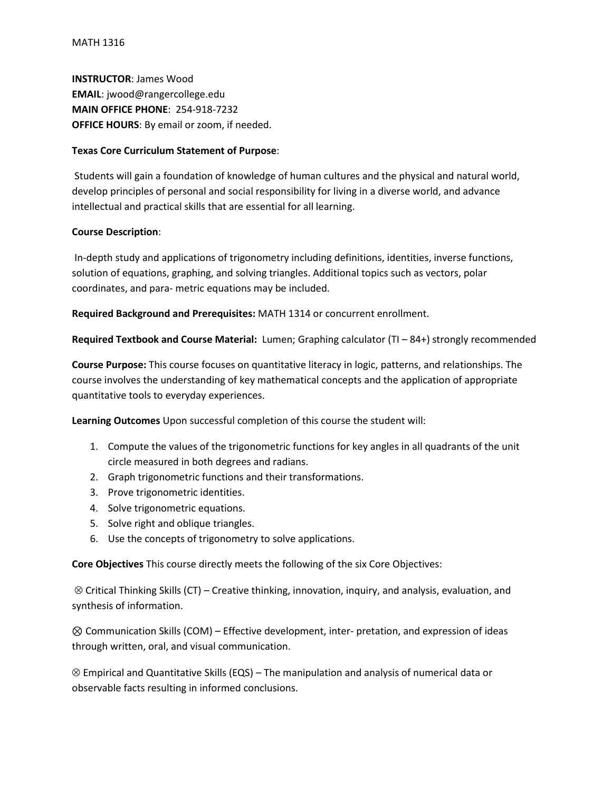**INSTRUCTOR**: James Wood **EMAIL**: jwood@rangercollege.edu **MAIN OFFICE PHONE**: 254-918-7232 **OFFICE HOURS**: By email or zoom, if needed.

## **Texas Core Curriculum Statement of Purpose**:

Students will gain a foundation of knowledge of human cultures and the physical and natural world, develop principles of personal and social responsibility for living in a diverse world, and advance intellectual and practical skills that are essential for all learning.

#### **Course Description**:

In-depth study and applications of trigonometry including definitions, identities, inverse functions, solution of equations, graphing, and solving triangles. Additional topics such as vectors, polar coordinates, and para- metric equations may be included.

**Required Background and Prerequisites:** MATH 1314 or concurrent enrollment.

**Required Textbook and Course Material:** Lumen; Graphing calculator (TI – 84+) strongly recommended

**Course Purpose:** This course focuses on quantitative literacy in logic, patterns, and relationships. The course involves the understanding of key mathematical concepts and the application of appropriate quantitative tools to everyday experiences.

**Learning Outcomes** Upon successful completion of this course the student will:

- 1. Compute the values of the trigonometric functions for key angles in all quadrants of the unit circle measured in both degrees and radians.
- 2. Graph trigonometric functions and their transformations.
- 3. Prove trigonometric identities.
- 4. Solve trigonometric equations.
- 5. Solve right and oblique triangles.
- 6. Use the concepts of trigonometry to solve applications.

**Core Objectives** This course directly meets the following of the six Core Objectives:

 $\otimes$  Critical Thinking Skills (CT) – Creative thinking, innovation, inquiry, and analysis, evaluation, and synthesis of information.

⊗ Communication Skills (COM) – Effective development, inter- pretation, and expression of ideas through written, oral, and visual communication.

 $\otimes$  Empirical and Quantitative Skills (EQS) – The manipulation and analysis of numerical data or observable facts resulting in informed conclusions.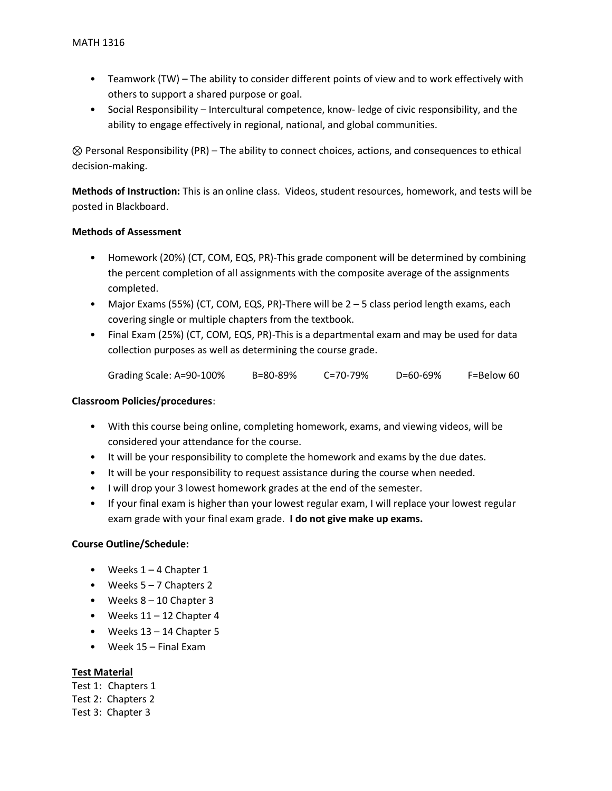- Teamwork (TW) The ability to consider different points of view and to work effectively with others to support a shared purpose or goal.
- Social Responsibility Intercultural competence, know- ledge of civic responsibility, and the ability to engage effectively in regional, national, and global communities.

⊗ Personal Responsibility (PR) – The ability to connect choices, actions, and consequences to ethical decision-making.

**Methods of Instruction:** This is an online class. Videos, student resources, homework, and tests will be posted in Blackboard.

## **Methods of Assessment**

- Homework (20%) (CT, COM, EQS, PR)-This grade component will be determined by combining the percent completion of all assignments with the composite average of the assignments completed.
- Major Exams (55%) (CT, COM, EQS, PR)-There will be 2 5 class period length exams, each covering single or multiple chapters from the textbook.
- Final Exam (25%) (CT, COM, EQS, PR)-This is a departmental exam and may be used for data collection purposes as well as determining the course grade.

| Grading Scale: A=90-100% | B=80-89% | $C = 70 - 79%$ | $D = 60 - 69%$ | F=Below 60 |
|--------------------------|----------|----------------|----------------|------------|
|                          |          |                |                |            |

## **Classroom Policies/procedures**:

- With this course being online, completing homework, exams, and viewing videos, will be considered your attendance for the course.
- It will be your responsibility to complete the homework and exams by the due dates.
- It will be your responsibility to request assistance during the course when needed.
- I will drop your 3 lowest homework grades at the end of the semester.
- If your final exam is higher than your lowest regular exam, I will replace your lowest regular exam grade with your final exam grade. **I do not give make up exams.**

## **Course Outline/Schedule:**

- Weeks  $1 4$  Chapter 1
- Weeks  $5 7$  Chapters 2
- Weeks  $8 10$  Chapter 3
- Weeks  $11 12$  Chapter 4
- Weeks 13 14 Chapter 5
- Week 15 Final Exam

## **Test Material**

Test 1: Chapters 1 Test 2: Chapters 2 Test 3: Chapter 3